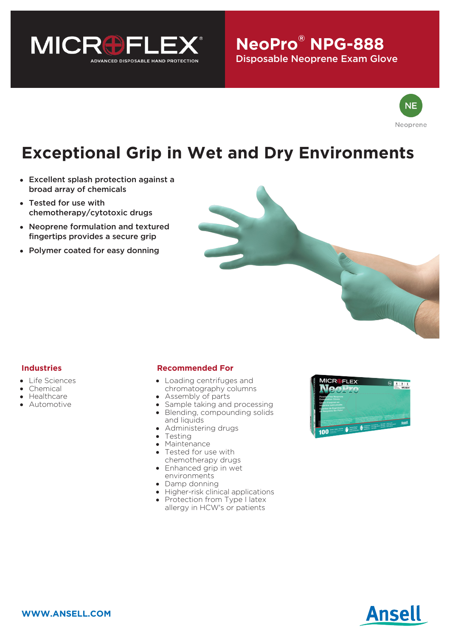

## $\mathbf{N}$ eoPro® NPG-888 Disposable Neoprene Exam Glove



# **Exceptional Grip in Wet and Dry Environments**

- Excellent splash protection against a broad array of chemicals
- Tested for use with chemotherapy/cytotoxic drugs
- Neoprene formulation and textured fingertips provides a secure grip
- Polymer coated for easy donning



### **Industries**

- Life Sciences
- Chemical
- Healthcare
- Automotive

#### **Recommended For**

- Loading centrifuges and chromatography columns
- Assembly of parts
- Sample taking and processing Blending, compounding solids and liquids
- Administering drugs
- Testing
- Maintenance
- Tested for use with chemotherapy drugs
- Enhanced grip in wet environments
- Damp donning
- Higher-risk clinical applications
- Protection from Type I latex allergy in HCW's or patients